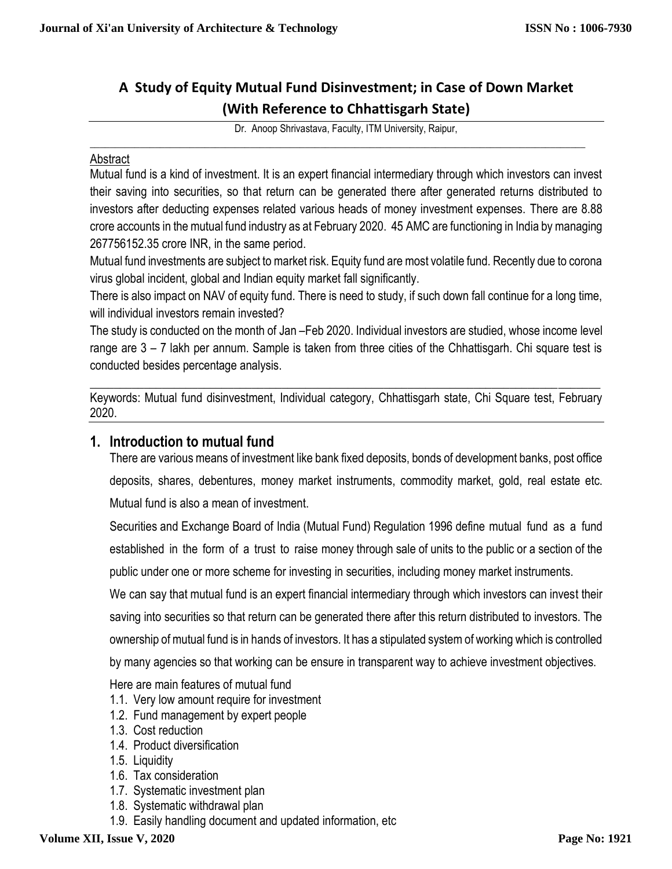# **A Study of Equity Mutual Fund Disinvestment; in Case of Down Market (With Reference to Chhattisgarh State)**

Dr. Anoop Shrivastava, Faculty, ITM University, Raipur,

 $\_$  , and the set of the set of the set of the set of the set of the set of the set of the set of the set of the set of the set of the set of the set of the set of the set of the set of the set of the set of the set of th

#### Abstract

Mutual fund is a kind of investment. It is an expert financial intermediary through which investors can invest their saving into securities, so that return can be generated there after generated returns distributed to investors after deducting expenses related various heads of money investment expenses. There are 8.88 crore accounts in the mutual fund industry as at February 2020. 45 AMC are functioning in India by managing 267756152.35 crore INR, in the same period.

Mutual fund investments are subject to market risk. Equity fund are most volatile fund. Recently due to corona virus global incident, global and Indian equity market fall significantly.

There is also impact on NAV of equity fund. There is need to study, if such down fall continue for a long time, will individual investors remain invested?

The study is conducted on the month of Jan –Feb 2020. Individual investors are studied, whose income level range are 3 – 7 lakh per annum. Sample is taken from three cities of the Chhattisgarh. Chi square test is conducted besides percentage analysis.

 $\_$  , and the set of the set of the set of the set of the set of the set of the set of the set of the set of the set of the set of the set of the set of the set of the set of the set of the set of the set of the set of th Keywords: Mutual fund disinvestment, Individual category, Chhattisgarh state, Chi Square test, February 2020.

### **1. Introduction to mutual fund**

There are various means of investment like bank fixed deposits, bonds of development banks, post office deposits, shares, debentures, money market instruments, commodity market, gold, real estate etc. Mutual fund is also a mean of investment.

Securities and Exchange Board of India (Mutual Fund) Regulation 1996 define mutual fund as a fund established in the form of a trust to raise money through sale of units to the public or a section of the public under one or more scheme for investing in securities, including money market instruments.

We can say that mutual fund is an expert financial intermediary through which investors can invest their saving into securities so that return can be generated there after this return distributed to investors. The ownership of mutual fund is in hands of investors. It has a stipulated system of working which is controlled

by many agencies so that working can be ensure in transparent way to achieve investment objectives.

Here are main features of mutual fund

- 1.1. Very low amount require for investment
- 1.2. Fund management by expert people
- 1.3. Cost reduction
- 1.4. Product diversification
- 1.5. Liquidity
- 1.6. Tax consideration
- 1.7. Systematic investment plan
- 1.8. Systematic withdrawal plan
- 1.9. Easily handling document and updated information, etc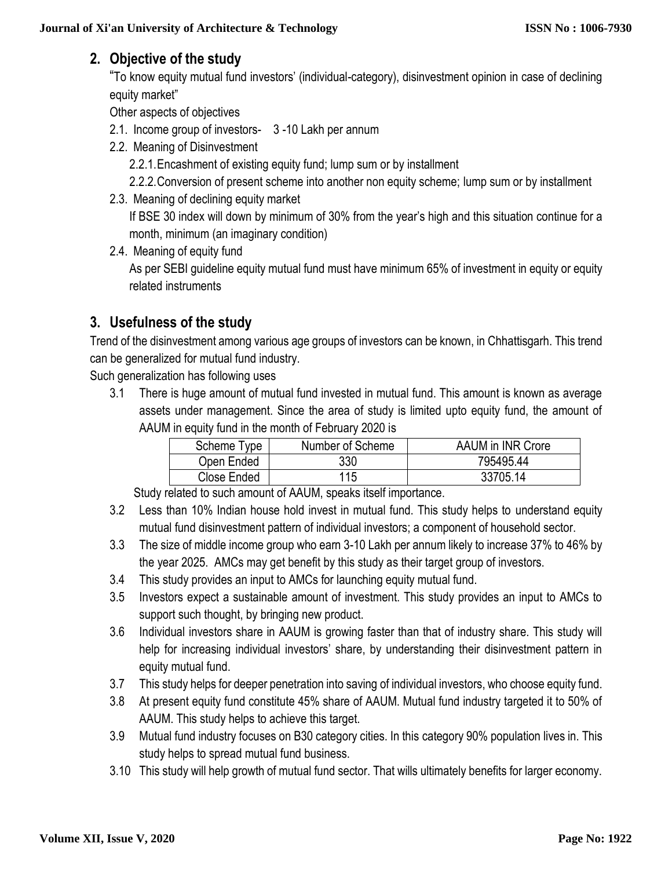# **2. Objective of the study**

"To know equity mutual fund investors' (individual-category), disinvestment opinion in case of declining equity market"

Other aspects of objectives

- 2.1. Income group of investors- 3 -10 Lakh per annum
- 2.2. Meaning of Disinvestment

2.2.1.Encashment of existing equity fund; lump sum or by installment

- 2.2.2.Conversion of present scheme into another non equity scheme; lump sum or by installment
- 2.3. Meaning of declining equity market

If BSE 30 index will down by minimum of 30% from the year's high and this situation continue for a month, minimum (an imaginary condition)

2.4. Meaning of equity fund

As per SEBI guideline equity mutual fund must have minimum 65% of investment in equity or equity related instruments

# **3. Usefulness of the study**

Trend of the disinvestment among various age groups of investors can be known, in Chhattisgarh. This trend can be generalized for mutual fund industry.

Such generalization has following uses

3.1 There is huge amount of mutual fund invested in mutual fund. This amount is known as average assets under management. Since the area of study is limited upto equity fund, the amount of AAUM in equity fund in the month of February 2020 is

| Scheme Type | Number of Scheme | AAUM in INR Crore |
|-------------|------------------|-------------------|
| Open Ended  | 330              | 795495.44         |
| Close Ended | 115              | 33705.14          |

Study related to such amount of AAUM, speaks itself importance.

- 3.2 Less than 10% Indian house hold invest in mutual fund. This study helps to understand equity mutual fund disinvestment pattern of individual investors; a component of household sector.
- 3.3 The size of middle income group who earn 3-10 Lakh per annum likely to increase 37% to 46% by the year 2025. AMCs may get benefit by this study as their target group of investors.
- 3.4 This study provides an input to AMCs for launching equity mutual fund.
- 3.5 Investors expect a sustainable amount of investment. This study provides an input to AMCs to support such thought, by bringing new product.
- 3.6 Individual investors share in AAUM is growing faster than that of industry share. This study will help for increasing individual investors' share, by understanding their disinvestment pattern in equity mutual fund.
- 3.7 This study helps for deeper penetration into saving of individual investors, who choose equity fund.
- 3.8 At present equity fund constitute 45% share of AAUM. Mutual fund industry targeted it to 50% of AAUM. This study helps to achieve this target.
- 3.9 Mutual fund industry focuses on B30 category cities. In this category 90% population lives in. This study helps to spread mutual fund business.
- 3.10 This study will help growth of mutual fund sector. That wills ultimately benefits for larger economy.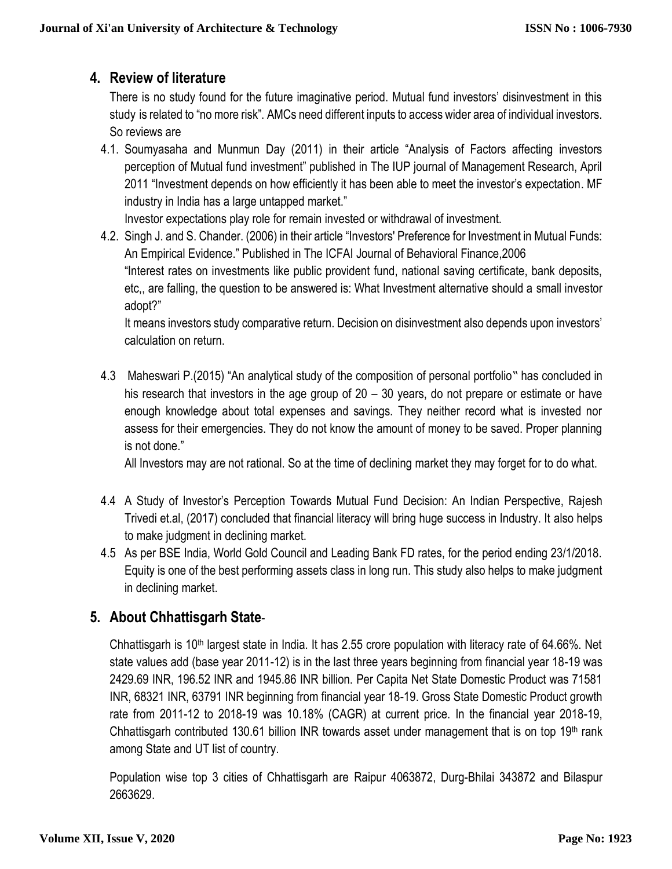## **4. Review of literature**

There is no study found for the future imaginative period. Mutual fund investors' disinvestment in this study is related to "no more risk". AMCs need different inputs to access wider area of individual investors. So reviews are

4.1. Soumyasaha and Munmun Day (2011) in their article "Analysis of Factors affecting investors perception of Mutual fund investment" published in The IUP journal of Management Research, April 2011 "Investment depends on how efficiently it has been able to meet the investor's expectation. MF industry in India has a large untapped market."

Investor expectations play role for remain invested or withdrawal of investment.

4.2. Singh J. and S. Chander. (2006) in their article "Investors' Preference for Investment in Mutual Funds: An Empirical Evidence." Published in The ICFAI Journal of Behavioral Finance,2006 "Interest rates on investments like public provident fund, national saving certificate, bank deposits, etc,, are falling, the question to be answered is: What Investment alternative should a small investor adopt?"

It means investors study comparative return. Decision on disinvestment also depends upon investors' calculation on return.

4.3 Maheswari P.(2015) "An analytical study of the composition of personal portfolio" has concluded in his research that investors in the age group of 20 – 30 years, do not prepare or estimate or have enough knowledge about total expenses and savings. They neither record what is invested nor assess for their emergencies. They do not know the amount of money to be saved. Proper planning is not done."

All Investors may are not rational. So at the time of declining market they may forget for to do what.

- 4.4 A Study of Investor's Perception Towards Mutual Fund Decision: An Indian Perspective, Rajesh Trivedi et.al, (2017) concluded that financial literacy will bring huge success in Industry. It also helps to make judgment in declining market.
- 4.5 As per BSE India, World Gold Council and Leading Bank FD rates, for the period ending 23/1/2018. Equity is one of the best performing assets class in long run. This study also helps to make judgment in declining market.

# **5. About Chhattisgarh State**-

Chhattisgarh is 10<sup>th</sup> largest state in India. It has 2.55 crore population with literacy rate of 64.66%. Net state values add (base year 2011-12) is in the last three years beginning from financial year 18-19 was 2429.69 INR, 196.52 INR and 1945.86 INR billion. Per Capita Net State Domestic Product was 71581 INR, 68321 INR, 63791 INR beginning from financial year 18-19. Gross State Domestic Product growth rate from 2011-12 to 2018-19 was 10.18% (CAGR) at current price. In the financial year 2018-19, Chhattisgarh contributed 130.61 billion INR towards asset under management that is on top 19th rank among State and UT list of country.

Population wise top 3 cities of Chhattisgarh are Raipur 4063872, Durg-Bhilai 343872 and Bilaspur 2663629.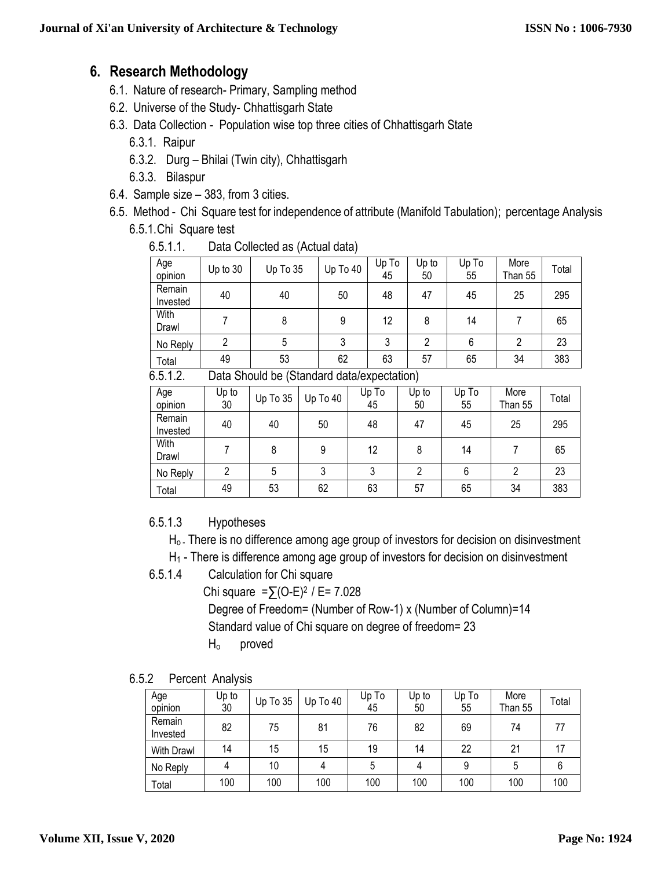### **6. Research Methodology**

- 6.1. Nature of research- Primary, Sampling method
- 6.2. Universe of the Study- Chhattisgarh State
- 6.3. Data Collection Population wise top three cities of Chhattisgarh State
	- 6.3.1. Raipur
	- 6.3.2. Durg Bhilai (Twin city), Chhattisgarh
	- 6.3.3. Bilaspur
- 6.4. Sample size 383, from 3 cities.
- 6.5. Method Chi Square test for independence of attribute (Manifold Tabulation); percentage Analysis 6.5.1.Chi Square test

| 6.5.1.1.<br>Data Collected as (Actual data) |  |
|---------------------------------------------|--|
|---------------------------------------------|--|

| Age<br>opinion                                        | Up to 30 | Up To 35 | Up To 40 | Up To<br>45 | Up to<br>50 | Up To<br>55 | More<br>Than 55 | Total |
|-------------------------------------------------------|----------|----------|----------|-------------|-------------|-------------|-----------------|-------|
| Remain<br>Invested                                    | 40       | 40       | 50       | 48          | 47          | 45          | 25              | 295   |
| With<br>Drawl                                         |          | 8        | 9        | 12          | 8           | 14          |                 | 65    |
| No Reply                                              |          |          |          | 3           | 2           | 6           | 2               | 23    |
| Total                                                 | 49       | 53       | 62       | 63          | 57          | 65          | 34              | 383   |
| C C 1 7<br>Data Chauld be (Ctandard data/ovnastation) |          |          |          |             |             |             |                 |       |

6.5.1.2. Data Should be (Standard data/expectation)

| Age<br>opinion     | Up to<br>30 | Up To 35 | Up To 40 | Up To<br>45 | Up to<br>50 | Up To<br>55 | More<br>Than 55 | Total |
|--------------------|-------------|----------|----------|-------------|-------------|-------------|-----------------|-------|
| Remain<br>Invested | 40          | 40       | 50       | 48          | 47          | 45          | 25              | 295   |
| With<br>Drawl      |             | 8        | 9        | 12          | 8           | 14          |                 | 65    |
| No Reply           |             | 5        | 3        | 3           | n           | 6           |                 | 23    |
| Total              | 49          | 53       | 62       | 63          | 57          | 65          | 34              | 383   |

### 6.5.1.3 Hypotheses

- H<sub>o</sub>. There is no difference among age group of investors for decision on disinvestment
- H<sup>1</sup> There is difference among age group of investors for decision on disinvestment
- 6.5.1.4 Calculation for Chi square

Chi square = $∑(O-E)^{2}$  / E= 7.028 Degree of Freedom= (Number of Row-1) x (Number of Column)=14 Standard value of Chi square on degree of freedom= 23

- Ho proved
- 6.5.2 Percent Analysis

| Age<br>opinion     | Up to<br>30 | Up To 35 | Up To 40 | Up To<br>45 | Up to<br>50 | Up To<br>55 | More<br>Than 55 | Total |
|--------------------|-------------|----------|----------|-------------|-------------|-------------|-----------------|-------|
| Remain<br>Invested | 82          | 75       | 81       | 76          | 82          | 69          | 74              | 77    |
| With Drawl         | 14          | 15       | 15       | 19          | 14          | 22          | 21              | 17    |
| No Reply           | 4           | 10       |          | 5           |             | 9           | 5               |       |
| Total              | 100         | 100      | 100      | 100         | 100         | 100         | 100             | 100   |